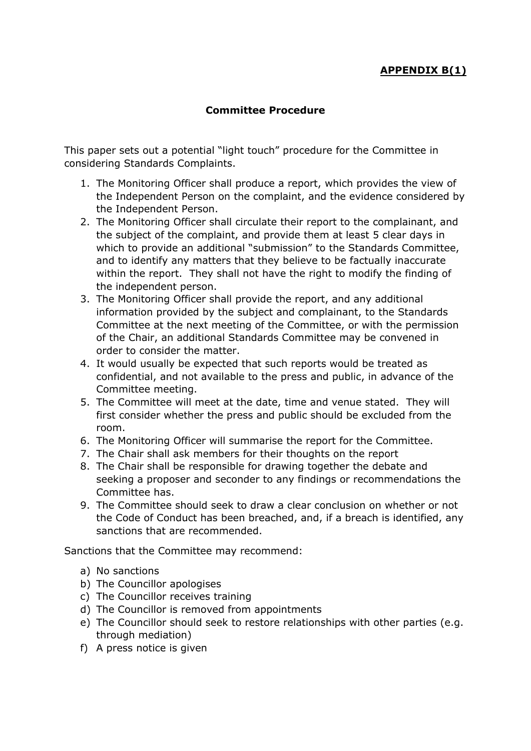## **APPENDIX B(1)**

## **Committee Procedure**

This paper sets out a potential "light touch" procedure for the Committee in considering Standards Complaints.

- 1. The Monitoring Officer shall produce a report, which provides the view of the Independent Person on the complaint, and the evidence considered by the Independent Person.
- 2. The Monitoring Officer shall circulate their report to the complainant, and the subject of the complaint, and provide them at least 5 clear days in which to provide an additional "submission" to the Standards Committee, and to identify any matters that they believe to be factually inaccurate within the report. They shall not have the right to modify the finding of the independent person.
- 3. The Monitoring Officer shall provide the report, and any additional information provided by the subject and complainant, to the Standards Committee at the next meeting of the Committee, or with the permission of the Chair, an additional Standards Committee may be convened in order to consider the matter.
- 4. It would usually be expected that such reports would be treated as confidential, and not available to the press and public, in advance of the Committee meeting.
- 5. The Committee will meet at the date, time and venue stated. They will first consider whether the press and public should be excluded from the room.
- 6. The Monitoring Officer will summarise the report for the Committee.
- 7. The Chair shall ask members for their thoughts on the report
- 8. The Chair shall be responsible for drawing together the debate and seeking a proposer and seconder to any findings or recommendations the Committee has.
- 9. The Committee should seek to draw a clear conclusion on whether or not the Code of Conduct has been breached, and, if a breach is identified, any sanctions that are recommended.

Sanctions that the Committee may recommend:

- a) No sanctions
- b) The Councillor apologises
- c) The Councillor receives training
- d) The Councillor is removed from appointments
- e) The Councillor should seek to restore relationships with other parties (e.g. through mediation)
- f) A press notice is given